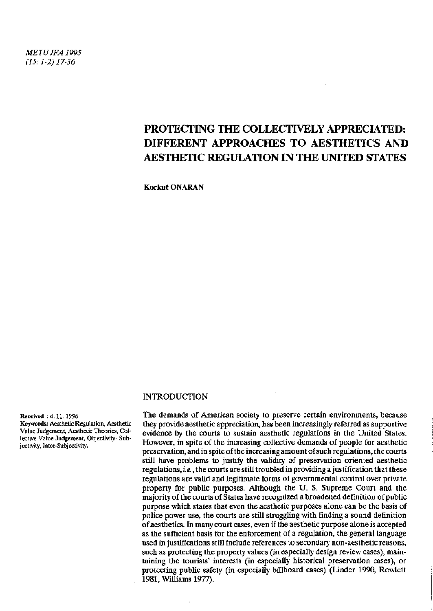*METUJFA 1995 (15:1-2)17-36* 

# PROTECTING THE COLLECTIVELY APPRECIATED: DIFFERENT APPROACHES TO AESTHETICS AND AESTHETIC REGULATION IN THE UNITED STATES

Korkut ONARAN

#### INTRODUCTION

#### Received : 4.11. 1996

Keywords: Aesthetic Regulation, Aesthetic Value Judgement, Aesthetic Theories, Collective Value-Judgement, Objectivity- Subjectivity, Inter-Subjectivity.

The demands of American society to preserve certain environments, because they provide aesthetic appreciation, has been increasingly referred as supportive evidence by the courts to sustain aesthetic regulations in the United States. However, in spite of the increasing collective demands of people for aesthetic preservation, and in spite of the increasing amount of such regulations, the courts still have problems to justify the validity of preservation oriented aesthetic regulations, *i.e.*, the courts are still troubled in providing a justification that these regulations are valid and legitimate forms of governmental control over private property for public purposes. Although the U. S. Supreme Court and the majority of the courts of States have recognized a broadened definition of public purpose which states that even the aesthetic purposes alone can be the basis of police power use, the courts are still struggling with finding a sound definition of aesthetics. In many court cases, even if the aesthetic purpose alone is accepted as the sufficient basis for the enforcement of a regulation, the general language used in justifications still include references to secondary non-aesthetic reasons, such as protecting the property values (in especially design review cases), maintaining the tourists' interests (in especially historical preservation cases), or protecting public safety (in especially billboard cases) (Linder 1990, Rowlett 1981, Williams 1977).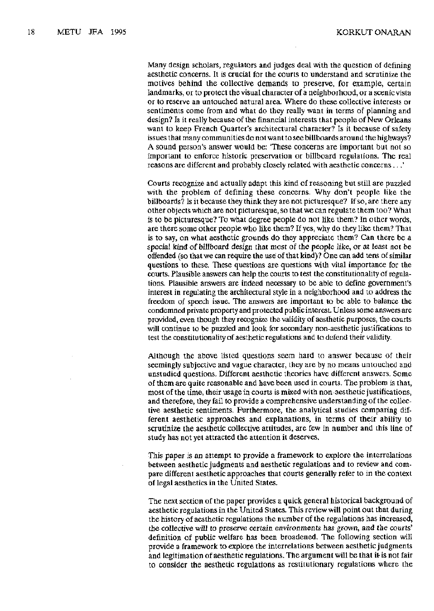Many design scholars, regulators and judges deal with the question of defining aesthetic concerns. It is crucial for the courts to understand and scrutinize the motives behind the collective demands to preserve, for example, certain landmarks, or to protect the visual character of a neighborhood, or a scenic vista or to reserve an untouched natural area. Where do these collective interests or sentiments come from and what do they really want in terms of planning and design? Is it really because of the financial interests that people of New Orleans want to keep French Quarter's architectural character? Is it because of safety issues that many communities do not want to see billboards around the highways? A sound person's answer would be: 'These concerns are important but not so important to enforce historic preservation or billboard regulations. The real reasons are different and probably closely related with aesthetic concerns ...'

Courts recognize and actually adapt this kind of reasoning but still are puzzled with the problem of defining these concerns. Why don't people like the billboards? Is it because they think they are not picturesque? If so, are there any other objects which are not picturesque, so that we can regulate them too? What is to be picturesque? To what degree people do not like them? In other words, are there some other people who like them? If yes, why do they like them? That is to say, on what aesthetic grounds do they appreciate them? Can there be a special kind of billboard design that most of the people like, or at least not be offended (so that we can require the use of that kind)? One can add tens of similar questions to these. These questions are questions with vital importance for the courts. Plausible answers can help the courts to test the constitutionality of regulations. Plausible answers are indeed necessary to be able to define government's interest in regulating the architectural style in a neighborhood and to address the freedom of speech issue. The answers are important to be able to balance the condemned private property and protected public interest. Unless some answers are provided, even though they recognize the validity of aesthetic purposes, the courts will continue to be puzzled and look for secondary non-aesthetic justifications to test the constitutionality of aesthetic regulations and to defend their validity.

Although the above listed questions seem hard to answer because of their seemingly subjective and vague character, they are by no means untouched and unstudied questions. Different aesthetic theories have different answers. Some of them are quite reasonable and have been used in courts. The problem is that, most of the time, their usage in courts is mixed with non-aesthetic justifications, and therefore, they fail to provide a comprehensive understanding of the collective aesthetic sentiments. Furthermore, the analytical studies comparing different aesthetic approaches and explanations, in terms of their ability to scrutinize the aesthetic collective attitudes, are few in number and this line of study has not yet attracted the attention it deserves,

This paper is an attempt to provide a framework to explore the interrelations between aesthetic judgments and aesthetic regulations and to review and compare different aesthetic approaches that courts generally refer to in the context of legal aesthetics in the United States.

The next section of the paper provides a quick general historical background of aesthetic regulations in the United States. This review will point out that during the history of aesthetic regulations the number of the regulations has increased, the collective will to preserve certain environments has grown, and the courts' definition of public welfare has been broadened. The following section will provide a framework to explore the interrelations between aesthetic judgments and legitimation of aesthetic regulations. The argument will be that it- is not fair to consider the aesthetic regulations as restitutionary regulations where the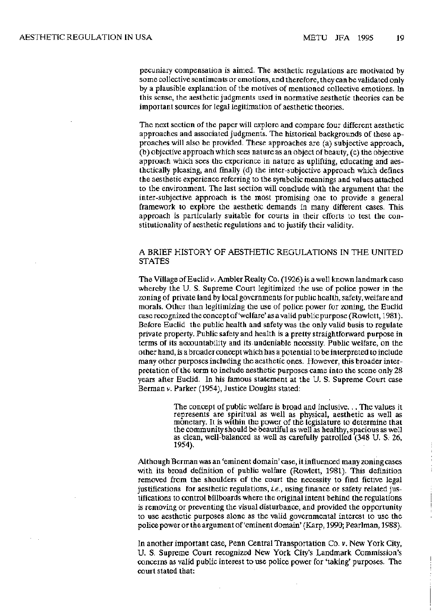pecuniary compensation is aimed. The aesthetic regulations are motivated by some collective sentiments or emotions, and therefore, they can be validated only by a plausible explanation of the motives of mentioned collective emotions. In this sense, the aesthetic judgments used in normative aesthetic theories can be important sources for legal legitimation of aesthetic theories.

The next section of the paper will explore and compare four different aesthetic approaches and associated judgments. The historical backgrounds of these approaches will also be provided. These approaches are (a) subjective approach, (b) objective approach which sees nature as an object of beauty, (c) the objective approach which sees the experience in nature as uplifting, educating and aesthetically pleasing, and finally (d) the inter-subjective approach which defines the aesthetic experience referring to the symbolic meanings and values attached to the environment. The last section will conclude with the argument that the inter-subjective approach is the most promising one to provide a general framework to explore the aesthetic demands in many different cases. This approach is particularly suitable for courts in their efforts to test the constitutionality of aesthetic regulations and to justify their validity.

### A BRIEF HISTORY OF AESTHETIC REGULATIONS IN THE UNITED STATES

The Village of Euclid v. Ambler Realty Co. (1926) is a well known landmark case whereby the U. S. Supreme Court legitimized the use of police power in the zoning of private land by local governments for public health, safety, welfare and morals. Other than legitimizing the use of police power for zoning, the Euclid case recognized the concept of'welfare'as a valid public purpose (Rowlett, 1981). Before Euclid the public health and safety was the only valid basis to regulate private property. Public safety and health is a pretty straightforward purpose in terms of its accountability and its undeniable necessity. Public welfare, on the other hand, is a broader concept which has a potential to be interpreted to include many other purposes including the aesthetic ones. However, this broader interpretation of the term to include aesthetic purposes came into the scene only 28 years after Euclid. In his famous statement at the U. S. Supreme Court case Berman *v.* Parker (1954), Justice Douglas stated:

> The concept of public welfare is broad and inclusive... The values it represents are spiritual as well as physical, aesthetic as well as monetary. It is within the power of the legislature to determine that the community should be beautiful as well as healthy, spacious as well as clean, well-balanced as well as carefully patrolled (348 U. S. 26, 1954).

Although Berman was an 'eminent domain\* case, it influenced many zoning cases with its broad definition of public welfare (Rowlett, 1981). This definition removed from the shoulders of the court the necessity to find fictive legal justifications for aesthetic regulations, *i.e.,* using finance or safety related justifications to control billboards where the original intent behind the regulations is removing or preventing the visual disturbance, and provided the opportunity to use aesthetic purposes alone as the valid governmental interest to use the police powerortheargument of'eminent domain'(Karp, 1990; Pearlman, 1988).

In another important case, Penn Central Transportation Co. v. New York City, U. S. Supreme Court recognized New York City's Landmark Commission's concerns as valid public interest to use police power for 'taking' purposes. The court stated that: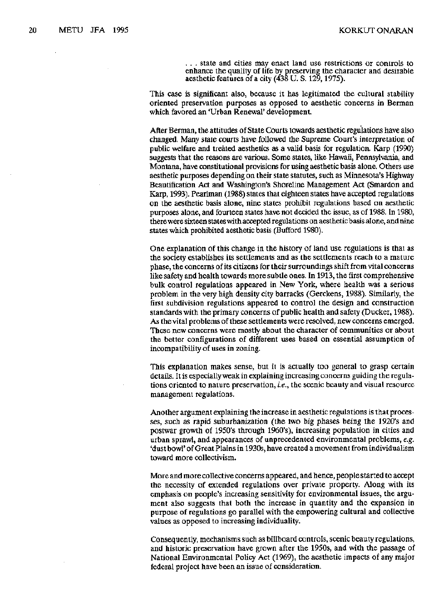. . . state and cities may enact land use restrictions or controls to enhance the quality of life by preserving the character and desirable aesthetic features of a city (438 U. S. 129,1975).

This case is significant also, because it has legitimated the cultural stability oriented preservation purposes as opposed to aesthetic concerns in Berman which favored an 'Urban Renewal' development.

After Berman, the attitudes of State Courts towards aesthetic regulations have also changed. Many state courts have followed the Supreme Court's interpretation of public welfare and treated aesthetics as a valid basis for regulation. Karp (1990) suggests that the reasons are various. Some states, like Hawaii, Pennsylvania, and Montana, have constitutional provisions for using aesthetic basis alone. Others use aesthetic purposes depending on their state statutes, such as Minnesota's Highway Beautification Act and Washington's Shoreline Management Act (Smardon and Karp, 1993). Pearlman (1988) states that eighteen states have accepted regulations on the aesthetic basis alone, nine states prohibit regulations based on aesthetic purposes alone, and fourteen states have not decided the issue, as of 1988. In 1980, there were sixteen states with accepted regulations on aesthetic basis alone, and nine states which prohibited aesthetic basis (Bufford 1980).

One explanation of this change in the history of land use regulations is that as the society establishes its settlements and as the settlements reach to a mature phase, the concerns of its citizens for their surroundings shift from vital concerns like safety and health towards more subtle ones. In 1913, the first comprehensive bulk control regulations appeared in New York, where health was a serious problem in the very high density city barracks (Gerckens, 1988). Similarly, the first subdivision regulations appeared to control the design and construction standards with the primary concerns of public health and safety (Ducker, 1988). As the vital problems of these settlements were resolved, new concerns emerged. These new concerns were mostly about the character of communities or about the better configurations of different uses based on essential assumption of incompatibility of uses in zoning.

This explanation makes sense, but it is actually too general to grasp certain details. It is especially weak in explaining increasing concerns guiding the regulations oriented to nature preservation, *i.e.,* the scenic beauty and visual resource management regulations.

Another argument explaining the increase in aesthetic regulations is that processes, such as rapid suburbanization (the two big phases being the 1920's and postwar growth of 1950\*s through 1960's), increasing population in cities and urban sprawl, and appearances of unprecedented environmental problems, *e.g.*  'dust bowl' of Great Plains in 1930s, have created a movement from individualism toward more collectivism.

More and more collective concerns appeared, and hence, people started to accept the necessity of extended regulations over private property. Along with its emphasis on people's increasing sensitivity for environmental issues, the argument also suggests that both the increase in quantity and the expansion in purpose of regulations go parallel with the empowering cultural and collective values as opposed to increasing individuality.

Consequently, mechanisms such as billboard controls, scenic beauty regulations, and historic preservation have grown after the 1950s, and with the passage of National Environmental Policy Act (1969), the aesthetic impacts of any major federal project have been an issue of consideration.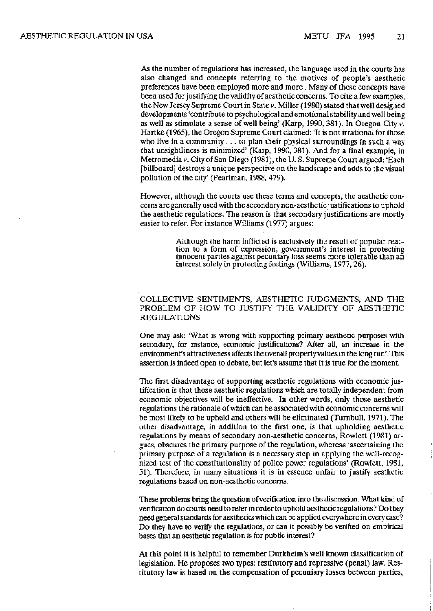As the number of regulations has increased, the language used in the courts has also changed and concepts referring to the motives of people's aesthetic preferences have been employed more and more . Many of these concepts have been used for justifying the validity of aesthetic concerns. To cite a few examples, the New Jersey Supreme Court in State v. Miller (1980) stated that well designed developments 'contribute to psychological and emotional stability and well being as well as stimulate a sense of well being' (Karp, 1990, 381). In Oregon City *v.*  Hartke (1965), the Oregon Supreme Court claimed: 'It is not irrational for those who live in a community  $\ldots$  to plan their physical surroundings in such a way that unsightliness is minimized' (Karp, 1990, 381). And for a final example, in Metromedia v. City of San Diego (1981), the U. S. Supreme Court argued: 'Each [billboard] destroys a unique perspective on the landscape and adds to the visual pollution of the city' (Pearlman, 1988, 479).

However, although the courts use these terms and concepts, the aesthetic concerns are generally used with the secondary non-aesthetic justifications to uphold the aesthetic regulations. The reason is that secondary justifications are mostly easier to refer. For instance Williams (1977) argues:

> Although the harm inflicted is exclusively the result of popular reaction to a form of expression, government's interest in protecting innocent parties against pecuniary loss seems more tolerable than an interest solely in protecting feelings (Williams, 1977,26).

### COLLECTIVE SENTIMENTS, AESTHETIC JUDGMENTS, AND THE PROBLEM OF HOW TO JUSTIFY THE VALIDITY OF AESTHETIC REGULATIONS

One may ask: 'What is wrong with supporting primary aesthetic purposes with secondary, for instance, economic justifications? After all, an increase in the environment's attractiveness affects the overall property values in the long run'. This assertion is indeed open to debate, but let's assume that it is true for the moment.

The first disadvantage of supporting aesthetic regulations with economic justification is that those aesthetic regulations which are totally independent from economic objectives will be ineffective. In other words, only those aesthetic regulations the rationale of which can be associated with economic concerns will be most likely to be upheld and others will be eliminated (Turnbull, 1971). The other disadvantage, in addition to the first one, is that upholding aesthetic regulations by means of secondary non-aesthetic concerns, Rowlett (1981) argues, obscures the primary purpose of the regulation, whereas 'ascertaining the primary purpose of a regulation is a necessary step in applying the well-recognized test of the constitutionality of police power regulations' (Rowlett, 1981, 51). Therefore, in many situations it is in essence unfair to justify aesthetic regulations based on non-aesthetic concerns.

These problems bring the question of verification into the discussion. What kind of verification do courts need to refer in order to uphold aesthetic regulations? Do they need general standards for aesthetics which can be applied everywhere in every case? Do they have to verify the regulations, or can it possibly be verified on empirical bases that an aesthetic regulation is for public interest?

At this point it is helpful to remember Durkheim's well known classification of legislation. He proposes two types: restitutory and repressive (penal) law. Restitutory law is based on the compensation of pecuniary losses between parties,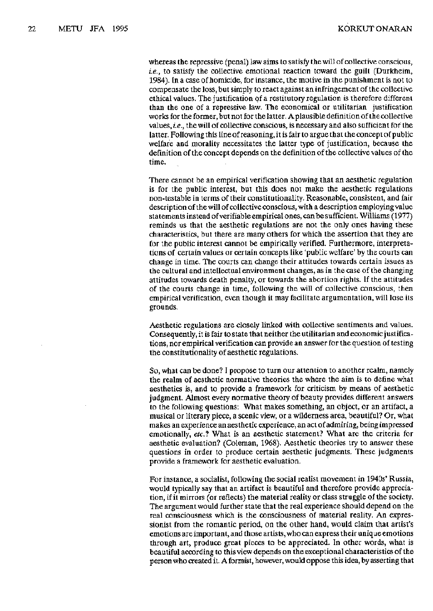whereas the repressive (penal) law aims to satisfy the will of collective conscious, *le.,* to satisfy the collective emotional reaction toward the guilt (Durkheim, 1984). In a case of homicide, for instance, the motive in the punishment is not to compensate the loss, but simply to react against an infringement of the collective ethical values. The justification of a restitutory regulation is therefore different than the one of a repressive law. The economical or utilitarian justification works for the former, but not for the latter. A plausible definition of the collective values, *i.e.,* the will of collective conscious, is necessary and also sufficient for the latter. Following this line of reasoning, it is fair to argue that the concept of public welfare and morality necessitates the latter type of justification, because the definition of the concept depends on the definition of the collective values of the time.

There cannot be an empirical verification showing that an aesthetic regulation is for the public interest, but this does not make the aesthetic regulations non-testable in terms of their constitutionality. Reasonable, consistent, and fair description of the will of collective conscious, with a description employing value statements instead of verifiable empirical ones, can be sufficient. Williams (1977) reminds us that the aesthetic regulations are not the only ones having these characteristics, but there are many others for which the assertion that they are for the public interest cannot be empirically verified. Furthermore, interpretations of certain values or certain concepts like 'public welfare' by the courts can change in time. The courts can change their attitudes towards certain issues as the cultural and intellectual environment changes, as in the case of the changing attitudes towards death penalty, or towards the abortion rights. If the attitudes of the courts change in time, following the will of collective conscious, then empirical verification, even though it may facilitate argumentation, will lose its grounds.

Aesthetic regulations are closely linked with collective sentiments and values. Consequently, it is fair to state that neither the utilitarian and economic justifications, nor empirical verification can provide an answer for the question of testing the constitutionality of aesthetic regulations.

So, what can be done? I propose to turn our attention to another realm, namely the realm of aesthetic normative theories the where the aim is to define what aesthetics is, and to provide a framework for criticism by means of aesthetic judgment. Almost every normative theory of beauty provides different answers to the following questions: What makes something, an object, or an artifact, a musical or literary piece, a scenic view, or a wilderness area, beautiful? Or, what makes an experience an aesthetic experience, an act of admiring, being impressed emotionally, *etc.?* What is an aesthetic statement? What are the criteria for aesthetic evaluation? (Coleman, 1968). Aesthetic theories try to answer these questions in order to produce certain aesthetic judgments. These judgments provide a framework for aesthetic evaluation.

For instance, a socialist, following the social realist movement in 1940s' Russia, would typically say that an artifact is beautiful and therefore provide appreciation, if it mirrors (or reflects) the material reality or class struggle of the society. The argument would further state that the real experience should depend on the real consciousness which is the consciousness of material reality. An expressionist from the romantic period, on the other hand, would claim that artist's emotions are important, and those artists, who can express their unique emotions through art, produce great pieces to be appreciated. In other words, what is beautiful according to this view depends on the exceptional characteristics of the person who created it. A formist, however, would oppose this idea, by asserting that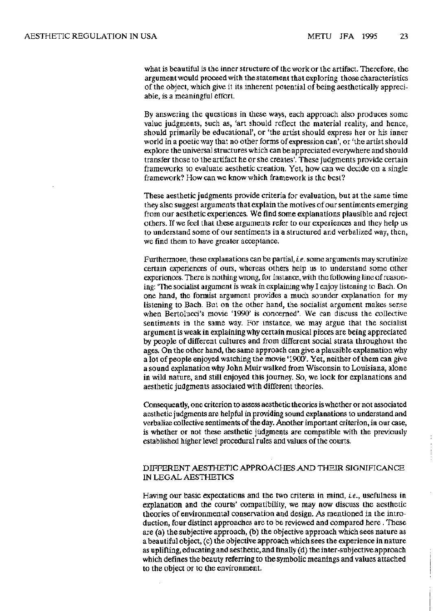what is beautiful is the inner structure of the work or the artifact. Therefore, the argument would proceed with the statement that exploring those characteristics of the object, which give it its inherent potential of being aesthetically appreciable, is a meaningful effort.

By answering the questions in these ways, each approach also produces some value judgments, such as, 'art should reflect the material reality, and hence, should primarily be educational', or 'the artist should express her or his inner world in a poetic way that no other forms of expression can', or 'the artist should explore the universal structures which can be appreciated everywhere and should transfer those to the artifact he or she creates'. These judgments provide certain frameworks to evaluate aesthetic creation. Yet, how can we decide on a single framework? How can we know which framework is the best?

These aesthetic judgments provide criteria for evaluation, but at the same time they also suggest arguments that explain the motives of our sentiments emerging from our aesthetic experiences. We find some explanations plausible and reject others. If we feel that these arguments refer to our experiences and they help us to understand some of our sentiments in a structured and verbalized way, then, we find them to have greater acceptance.

Furthermore, these explanations can be partial, *Le.* some arguments may scrutinize certain experiences of ours, whereas others help us to understand some other experiences. There is nothing wrong, for instance, with the following line of reasoning: 'The socialist argument is weak in explaining why I enjoy listening to Bach. On one hand, the formist argument provides a much sounder explanation for my listening to Bach. But on the other hand, the socialist argument makes sense when Bertolucci's movie '1990' is concerned'. We can discuss the collective sentiments in the same way. For instance, we may argue that the socialist argument is weak in explaining why certain musical pieces are being appreciated by people of different cultures and from different social strata throughout the ages. On the other hand, the same approach can give a plausible explanation why a lot of people enjoyed watching the movie '1900'. Yet, neither of them can give a sound explanation why John Muir walked from Wisconsin to Louisiana, alone in wild nature, and still enjoyed this journey. So, we look for explanations and aesthetic judgments associated with different theories.

Consequently, one criterion to assess aesthetic theories is whether or not associated aesthetic judgments are helpful in providing sound explanations to understand and verbalize collective sentiments of the day. Another important criterion, in our case, is whether or not these aesthetic judgments are compatible with the previously established higher level procedural rules and values of the courts.

#### DIFFERENT AESTHETIC APPROACHES AND THEIR SIGNIFICANCE IN LEGAL AESTHETICS

Having our basic expectations and the two criteria in mind, *Le.,* usefulness in explanation and the courts' compatibility, we may now discuss the aesthetic theories of environmental conservation and design. As mentioned in the introduction, four distinct approaches are to be reviewed and compared here. These are (a) the subjective approach, (b) the objective approach which sees nature as a beautiful object, (c) the objective approach which sees the experience in nature as uplifting, educating and aesthetic, and finally (d) the inter-subjective approach which defines the beauty referring to the symbolic meanings and values attached to the object or to the environment.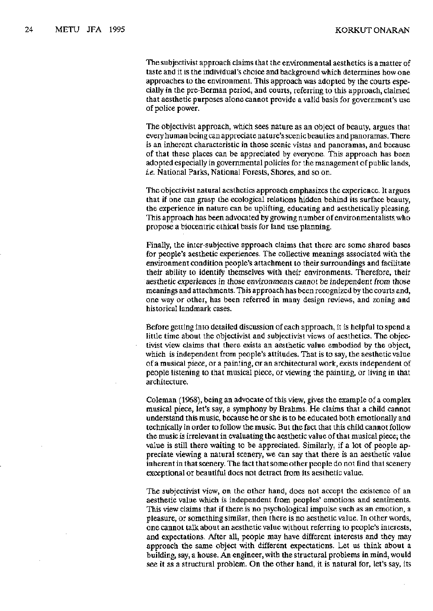The subjectivist approach claims that the environmental aesthetics is a matter of taste and it is the individual's choice and background which determines how one approache s t o th e environment . Thi s approac h wa s adopte d by th e court s espe cially in th e pre-Berma n period , an d courts , referrin g t o thi s approach , claimed tha t aestheti c purpose s alon e canno t provid e a vali d basi s for government' s use of polic e power.

Th e objectivis t approach , which see s natur e a s an objec t of beauty , argue s that every human bein g can appreciat e nature' s sceni c beautie s an d panoramas . There is an inherent characteristic in those scenic vistas and panoramas, and because of tha t thes e place s can b e appreciate d by everyone . Thi s approac h ha s been adopted especially in governmental policies for the management of public lands, i.e. National Parks, National Forests, Shores, and so on.

The objectivist natural aesthetics approach emphasizes the experience. It argues tha t if on e can gras p th e ecological relation s hidde n behin d it s surfac e beauty, the experience in nature can be uplifting, educating and aesthetically pleasing. This approach has been advocated by growing number of environmentalists who propos e a biocentri c ethica l basi s for lan d us e planning.

Finally, the inter-subjective approach claims that there are some shared bases for people' s aestheti c experiences . Th e collectiv e meaning s associate d with the environment condition people's attachment to their surroundings and facilitate their ability to identify themselves with their environments. Therefore, their aesthetic experiences in those environments cannot be independent from those meaning s an d attachments . Thi s approac h ha s bee n recognize d by th e court s and, one way or other, has been referred in many design reviews, and zoning and historica l landmark cases.

Before getting into detailed discussion of each approach, it is helpful to spend a little time about the objectivist and subjectivist views of aesthetics. The objectivis t view claim s tha t ther e exist s a n aestheti c valu e embodie d by th e object, which is independent from people's attitudes. That is to say, the aesthetic value of a musical piece , o r a painting , o r a n architectura l work , exist s independen t of people listening to that musical piece, or viewing the painting, or living in that architecture.

Coleman (1968), being an advocate of this view, gives the example of a complex musical piece, let's say, a symphony by Brahms. He claims that a child cannot understan d thi s music , becaus e h e o r sh e i s t o b e educate d bot h emotionall y and technically in order to follow the music. But the fact that this child cannot follow the music is irrelevant in evaluating the aesthetic value of that musical piece; the value is still there waiting to be appreciated. Similarly, if a lot of people appreciate viewing a natural scenery, we can say that there is an aesthetic value inheren t i n tha t scenery . Th e fact tha t som e othe r peopl e d o no t find tha t scenery exceptional or beautiful does not detract from its aesthetic value.

The subjectivist view, on the other hand, does not accept the existence of an aesthetic value which is independent from peoples' emotions and sentiments. This view claims that if there is no psychological impulse such as an emotion, a pleasure, or something similar, then there is no aesthetic value. In other words, on e canno t tal k abou t a n aestheti c valu e withou t referrin g t o people' s interests, an d expectations . After all , peopl e may hav e differen t interest s an d the y may approach the same object with different expectations. Let us think about a building, say, a house. An engineer, with the structural problems in mind, would see it as a structural problem. On the other hand, it is natural for, let's say, its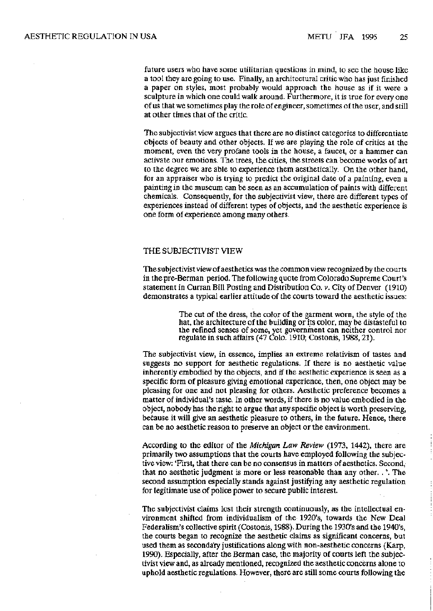future users who have some utilitarian questions in mind, to see the house like a tool they are going to use. Finally, an architectural critic who has just finished a paper on styles, most probably would approach the house as if it were a sculpture in which one could walk around. Furthermore, it is true for every one of us that we sometimes play the role of engineer, sometimes of the user, and still at other times that of the critic.

The subjectivist view argues that there are no distinct categories to differentiate objects of beauty and other objects. If we are playing the role of critics at the moment, even the very profane tools in the house, a faucet, or a hammer can activate our emotions. The trees, the cities, the streets can become works of art to the degree we are able to experience them aesthetically. On the other hand, for an appraiser who is trying to predict the original date of a painting, even a painting in the museum can be seen as an accumulation of paints with different chemicals. Consequently, for the subjectivist view, there are different types of experiences instead of different types of objects, and the aesthetic experience is one form of experience among many others.

#### THE SUBJECTIVIST VIEW

The subjectivist view of aesthetics was the common view recognized by the courts in the pre-Berman period. The following quote from Colorado Supreme Court's statement in Curran Bill Posting and Distribution Co. v. City of Denver (1910) demonstrates a typical earlier attitude of the courts toward the aesthetic issues:

> The cut of the dress, the color of the garment worn, the style of the hat, the architecture of the building or its color, may be distasteful to the refined senses of some, yet government can neither control nor regulate in such affairs (47 Colo. 1910; Costonis, 1988, 21).

The subjectivist view, in essence, implies an extreme relativism of tastes and suggests no support for aesthetic regulations. If there is no aesthetic value inherently embodied by the objects, and if the aesthetic experience is seen as a specific form of pleasure giving emotional experience, then, one object may be pleasing for one and not pleasing for others. Aesthetic preference becomes a matter of individual's taste. In other words, if there is no value embodied in the object, nobody has the right to argue that any specific object is worth preserving, because it will give an aesthetic pleasure to others, in the future. Hence, there can be no aesthetic reason to preserve an object or the environment.

According to the editor of the *Michigan Law Review* (1973, 1442), there are primarily two assumptions that the courts have employed following the subjective view: 'First, that there can be no consensus in matters of aesthetics. Second, that no aesthetic judgment is more or less reasonable than any other. . \ The second assumption especially stands against justifying any aesthetic regulation for legitimate use of police power to secure public interest.

The subjectivist claims lost their strength continuously, as the intellectual environment shifted from individualism of the 1920's, towards the New Deal Federalism's collective spirit (Costonis, 1988). During the 1930's and the 1940's, the courts began to recognize the aesthetic claims as significant concerns, but used them as secondary justifications along with non-aesthetic concerns (Karp, 1990). Especially, after the Berman case, the majority of courts left the subjectivist view and, as already mentioned, recognized the aesthetic concerns alone to uphold aesthetic regulations. However, there are still some courts following the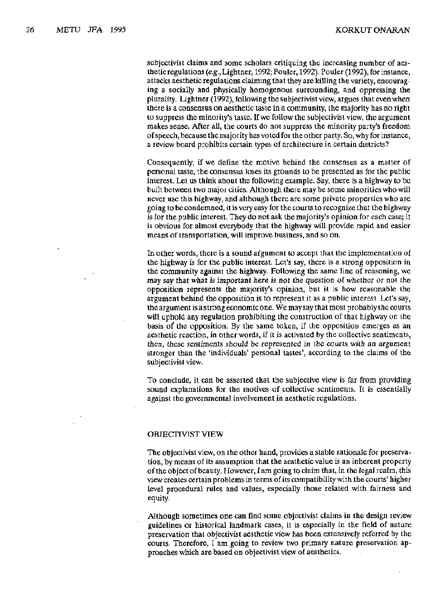subjectivist claims and some scholars critiquing the increasing number of aesthetic regulations *(e.g.,* Lightner, 1992; Pouler, 1992). Pouler (1992), for instance, attacks aesthetic regulations claiming that they are killing the variety, encouraging a socially and physically homogenous surrounding, and oppressing the plurality. Lightner (1992), following the subjectivist view, argues that even when there is a consensus on aesthetic taste in a community, the majority has no right to suppress the minority's taste. If we follow the subjectivist view, the argument makes sense. After all, the courts do not suppress the minority party's freedom of speech, because the majority has voted for the other party. So, why for instance, a review board prohibits certain types of architecture in certain districts?

Consequently, if we define the motive behind the consensus as a matter of personal taste, the consensus loses its grounds to be presented as for the public interest. Let us think about the following example. Say, there is a highway to be built between two major cities. Although there may be some minorities who will never use this highway, and although there are some private properties who are going to be condemned, it is very easy for the courts to recognize that the highway is for the public interest. They do not ask the majority's opinion for each case; it is obvious for almost everybody that the highway will provide rapid and easier means of transportation, will improve business, and so on.

In other words, there is a sound argument to accept that the implementation of the highway is for the public interest. Let's say, there is a strong opposition in the community against the highway. Following the same line of reasoning, we may say that what is important here is not the question of whether or not the opposition represents the majority's opinion, but it is how reasonable the argument behind the opposition is to represent it as a public interest. Let's say, the argument is a strong economic one. We may say that most probably the courts will uphold any regulation prohibiting the construction of that highway on the basis of the opposition. By the same token, if the opposition emerges as an aesthetic reaction, in other words, if it is activated by the collective sentiments, then, these sentiments should be represented in the courts with an argument stronger than the 'individuals' personal tastes', according to the claims of the subjectivist view.

To conclude, it can be asserted that the subjective view is far from providing sound explanations for the motives of collective sentiments. It is essentially against the governmental involvement in aesthetic regulations.

#### OBJECTIVIST VIEW

The objectivist view, on the other hand, provides a stable rationale for preservation, by means of its assumption that the aesthetic value is an inherent property of the object of beauty. However, I am going to claim that, in the legal realm, this view creates certain problems in terms of its compatibility with the courts' higher level procedural rules and values, especially those related with fairness and equity.

Although sometimes one can find some objectivist claims in the design review guidelines or historical landmark cases, it is especially in the field of nature preservation that objectivist aesthetic view has been extensively referred by the courts. Therefore, I am going to review two primary nature preservation approaches which are based on objectivist view of aesthetics.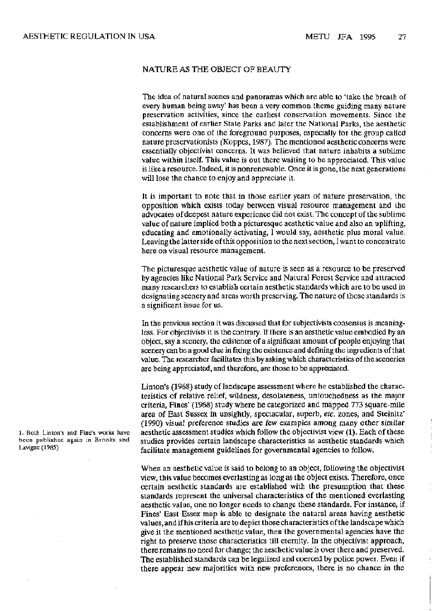#### NATURE AS THE OBJECT OF BEAUTY

The idea of natural scenes and panoramas which are able to 'take the breath of every human being away' has been a very common theme guiding many nature preservation activities, since the earliest conservation movements. Since the establishment of earlier State Parks and later the National Parks, the aesthetic concerns were one of the foreground purposes, especially for the group called nature preservationists (Koppes, 1987). The mentioned aesthetic concerns were essentially objectivist concerns. It was believed that nature inhabits a sublime value within itself. This value is out there waiting to be appreciated. This value is like a resource. Indeed, it is nonrenewable. Once it is gone, the next generations will lose the chance to enjoy and appreciate it.

It is important to note that in those earlier years of nature preservation, the opposition which exists today between visual resource management and the advocates of deepest nature experience did not exist. The concept of the sublime value of nature implied both a picturesque aesthetic value and also an uplifting, educating and emotionally activating, I would say, aesthetic plus moral value. Leaving the latter side of this opposition to the next section, I want to concentrate here on visual resource management.

The picturesque aesthetic value of nature is seen as a resource to be preserved by agencies like National Park Service and Natural Forest Service and attracted many researchers to establish certain aesthetic standards which are to be used in designating scenery and areas worth preserving. The nature of those standards is a significant issue for us.

In the previous section it was discussed that for subjectivists consensus is meaningless. For objectivists it is the contrary. If there is an aesthetic value embodied by an object, say a scenery, the existence of a significant amount of people enjoying that scenery can be a good clue in fixing the existence and defining the ingredients of that value. The researcher facilitates this by asking which characteristics of the sceneries are being appreciated, and therefore, are those to be appreciated.

Linton's (1968) study of landscape assessment where he established the characteristics of relative relief, wildness, desolateness, untouchedness as the major criteria, Fines' (1968) study where he categorized and mapped 773 square-mile area of East Sussex in unsightly, spectacular, superb, *etc.* zones, and Steinitz' (1990) visual preference studies are few examples among many other similar l. Both Linton's and Fine's works have aesthetic assessment studies which follow the objectivist view (1). Each of these been published again in Brooks and studies provides certain landscape characteristics as aesthetic standards which Lavigne (1985) **facilitate management guidelines for governmental agencies to follow.** 

> When an aesthetic value is said to belong to an object, following the objectivist view, this value becomes everlasting as long as the object exists. Therefore, once certain aesthetic standards are established with the presumption that these standards represent the universal characteristics of the mentioned everlasting aesthetic value, one no longer needs to change these standards. For instance, if Fines' East Essex map is able to designate the natural areas having aesthetic values, and if his criteria are to depict those characteristics of the landscape which give it the mentioned aesthetic value, then the governmental agencies have the right to preserve those characteristics till eternity. In the objectivist approach, there remains no need for change; the aesthetic value is over there and preserved. The established standards can be legalized and coerced by police power. Even if there appear new majorities with new preferences, there is no chance in the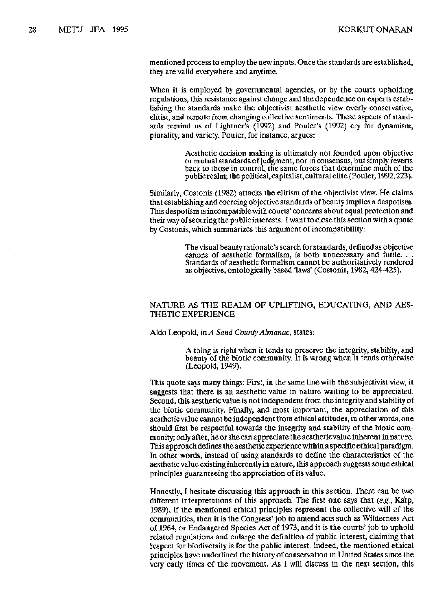mentioned process to employ the new inputs. Once the standards are established, they are valid everywhere and anytime.

When it is employed by governmental agencies, or by the courts upholding regulations, this resistance against change and the dependence on experts establishing the standards make the objectivist aesthetic view overly conservative, elitist, and remote from changing collective sentiments. These aspects of standards remind us of Lightner's (1992) and Pouler's (1992) cry for dynamism, plurality, and variety. Pouler, for instance, argues:

> Aesthetic decision making is ultimately not founded upon objective or mutual standards of judgment, nor in consensus, but simply reverts back to those in control, the same forces that determine much of the public realm; the political, capitalist, cultural elite (Pouler, 1992,223).

Similarly, Costonis (1982) attacks the elitism of the objectivist view. He claims that establishing and coercing objective standards of beauty implies a despotism. This despotism is incompatible with courts' concerns about equal protection and their way of securing the public interests. I want to close this section with a quote by Costonis, which summarizes this argument of incompatibility:

> The visual beauty rationale's search for standards, defined as objective canons of aesthetic formalism, is both unnecessary and futile. . . Standards of aesthetic formalism cannot be authoritatively rendered as objective, ontologically based 'laws' (Costonis, 1982,424-425).

#### NATURE AS THE REALM OF UPLIFTING, EDUCATING, AND AES-THETIC EXPERIENCE

Aldo Leopold, *inA Sand County Almanac,* states:

A thing is right when it tends to preserve the integrity, stability, and beauty of the biotic community. It is wrong when it tends otherwise (Leopold, 1949).

This quote says many things: First, in the same line with the subjectivist view, it suggests that there is an aesthetic value in nature waiting to be appreciated. Second, this aesthetic value is not independent from the integrity and stability of the biotic community. Finally, and most important, the appreciation of this aesthetic value cannot be independent from ethical attitudes, in other words, one should first be respectful towards the integrity and stability of the biotic community; only after, he or she can appreciate the aesthetic value inherent in nature. This approach defines the aesthetic experience within a specific ethical paradigm. In other words, instead of using standards to define the characteristics of the aesthetic value existing inherently in nature, this approach suggests some ethical principles guaranteeing the appreciation of its value.

Honestly, I hesitate discussing this approach in this section. There can be two different interpretations of this approach. The first one says that *(e.g.,* Ka'rp, 1989), if the mentioned ethical principles represent the collective will of the communities, then it is the Congress' job to amend acts such as Wilderness Act of 1964, or Endangered Species Act of 1973, and it is the courts' job to uphold related regulations and enlarge the definition of public interest, claiming that respect for biodiversity is for the public interest. Indeed, the mentioned ethical principles have underlined the history of conservation in United States since the very early times of the movement. As I will discuss in the next section, this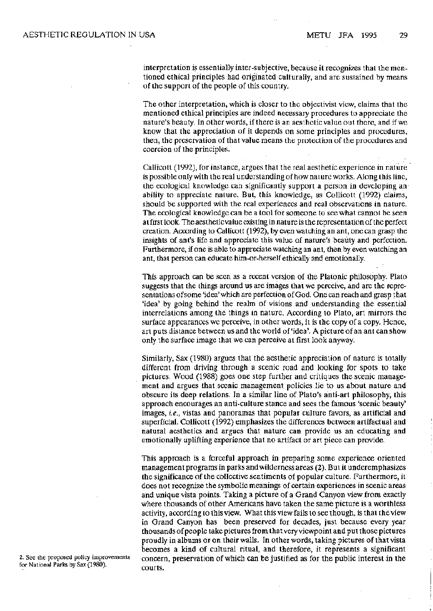interpretation is essentially inter-subjective, because it recognizes that the mentioned ethical principles had originated culturally, and are sustained by means of the support of the people of this country.

The other interpretation, which is closer to the objectivist view, claims that the mentioned ethical principles are indeed necessary procedures to appreciate the nature's beauty. In other words, if there is an aesthetic value out there, and if we know that the appreciation of it depends on some principles and procedures, then, the preservation of that value means the protection of the procedures and coercion of the principles.

CaUicott (1992), for instance, argues that the real aesthetic experience in nature is possible only with the real understanding of how nature works. Along this line, the ecological knowledge can significantly support a person in developing an ability to appreciate nature. But, this knowledge, as Collicott (1992) claims, should be supported with the real experiences and real observations in nature. The ecological knowledge can be a tool for someone to see what cannot be seen at first look. The aesthetic value existing in nature is the representation of the perfect creation. According to CaUicott (1992), by even watching an ant, one can grasp the insights of ant's life and appreciate this value of nature's beauty and perfection. Furthermore, if one is able to appreciate watching an ant, then by even watching an ant, that person can educate him-or-herself ethically and emotionally.

This approach can be seen as a recent version of the Platonic philosophy. Plato suggests that the things around us are images that we perceive, and arc the representations of some 'idea' which are perfection of God. One can reach and grasp that 'idea' by going behind the realm of visions and understanding the essential interrelations among the things in nature. According to Plato, art mirrors the surface appearances we perceive, in other words, it is the copy of a copy. Hence, art puts distance between us and the world of 'idea'. A picture of an ant can show only the surface image that we can perceive at first look anyway.

Similarly, Sax (1980) argues that the aesthetic appreciation of nature is totally different from driving through a scenic road and looking for spots to take pictures. Wood (1988) goes one step further and critiques the scenic management and argues that scenic management policies lie to us about nature and obscure its deep relations. In a similar line of Plato's anti-art philosophy, this approach encourages an anti-culture stance and sees the famous 'scenic beauty' images, *i.e.,* vistas and panoramas that popular culture favors, as artificial and superficial. Collicott (1992) emphasizes the differences between artifactual and natural aesthetics and argues that nature can provide us an educating and emotionally uplifting experience that no artifact or art piece can provide.

This approach is a forceful approach in preparing some experience oriented management programs in parks and wilderness areas (2). But it underemphasizes the significance of the collective sentiments of popular culture. Furthermore, it does not recognize the symbolic meanings of certain experiences in scenic areas and unique vista points. Taking a picture of a Grand Canyon view from exactly where thousands of other Americans have taken the same picture is a worthless activity, according to this view. What this view fails to see though, is that the view in Grand Canyon has been preserved for decades, just because every year thousands of people take pictures from that very viewpoint and put those pictures proudly in albums or on their walls. In other words, taking pictures of that vista becomes a kind of cultural ritual, and therefore, it represents a significant 2. See the proposed policy improvements concern, preservation of which can be justified as for the public interest in the

for National Parks by Sax (1980). courts.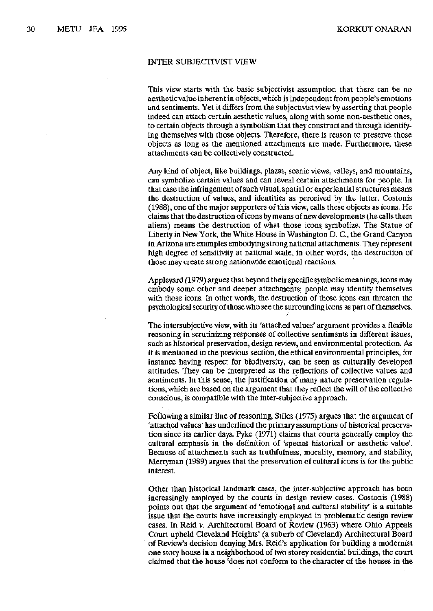#### INTER-SUBJECTIVIST VIEW

This view starts with the basic subjectivist assumption that there can be no aesthetic value inherent in objects, which is independent from people's emotions and sentiments. Yet it differs from the subjectivist view by asserting that people indeed can attach certain aesthetic values, along with some non-aesthetic ones, to certain objects through a symbolism that they construct and through identifying themselves with those objects. Therefore, there is reason to preserve those objects as long as the mentioned attachments are made. Furthermore, these attachments can be collectively constructed.

Any kind of object, like buildings, plazas, scenic views, valleys, and mountains, can symbolize certain values and can reveal certain attachments for people. In that case the infringement of such visual, spatial or experiential structures means the destruction of values, and identities as perceived by the latter. Costonis (1988), one of the major supporters of this view, calls these objects as icons. He claims that the destruction of icons by means of new developments (he calls them aliens) means the destruction of what those icons symbolize. The Statue of Liberty in New York, the White House in Washington D. G, the Grand Canyon in Arizona are examples embodying strong national attachments. They represent high degree of sensitivity at national scale, in other words, the destruction of those may create strong nationwide emotional reactions.

Appleyard (1979) argues that beyond their specific symbolic meanings, icons may embody some other and deeper attachments; people may identify themselves with those icons. In other words, the destruction of those icons can threaten the psychological security of those who see the surrounding icons as part of themselves.

The intersubjective view, with its 'attached values' argument provides a flexible reasoning in scrutinizing responses of collective sentiments in different issues, such as historical preservation, design review, and environmental protection. As it is mentioned in the previous section, the ethical environmental principles, for instance having respect for biodiversity, can be seen as culturally developed attitudes. They can be interpreted as the reflections of collective values and sentiments. In this sense, the justification of many nature preservation regulations, which are based on the argument that they reflect the will of the collective conscious, is compatible with the inter-subjective approach.

Following a similar line of reasoning, Stiles (1975) argues that the argument of 'attached values' has underlined the primary assumptions of historical preservation since its earlier days. Pyke (1971) claims that courts generally employ the cultural emphasis in the definition of 'special historical or aesthetic value'. Because of attachments such as truthfulness, morality, memory, and stability, Merryman (1989) argues that the preservation of cultural icons is for the public interest.

Other than historical landmark cases, the inter-subjective approach has been increasingly employed by the courts in design review cases. Costonis (1988) points out that the argument of 'emotional and cultural stability' is a suitable issue that the courts have increasingly employed in problematic design review cases. In Reid v. Architectural Board of Review (1963) where Ohio Appeals Court upheld Cleveland Heights' (a suburb of Cleveland) Architectural Board of Review's decision denying Mrs. Reid's application for building a modernist one story house in a neighborhood of two storey residential buildings, the court claimed that the house 'does not conform to the character of the houses in the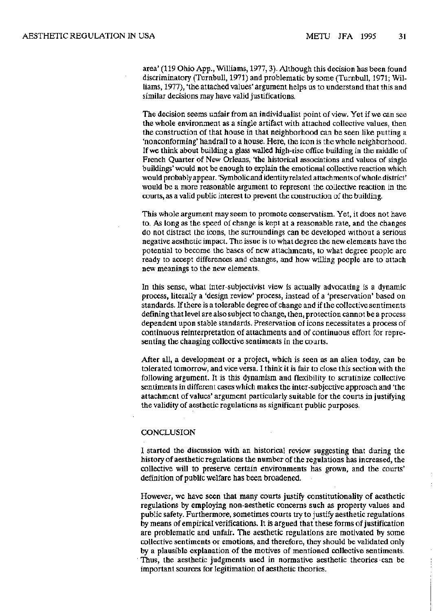area' (119 Ohio App., Williams, 1977,3). Although this decision has been found discriminatory (Turnbull, 1971) and problematic by some (Turnbull, 1971; Williams, 1977), 'the attached values' argument helps us to understand that this and similar decisions may have valid justifications.

The decision seems unfair from an individualist point of view. Yet if we can see the whole environment as a single artifact with attached collective values, then the construction of that house in that neighborhood can be seen like putting a 'nonconforming' handrail to a house. Here, the icon is the whole neighborhood. If we think about building a glass walled high-rise office building in the middle of French Quarter of New Orleans, 'the historical associations and values of single buildings' would not be enough to explain the emotional collective reaction which would probably appear. 'Symbolic and identity related attachments of whole district' would be a more reasonable argument to represent the collective reaction in the courts, as a valid public interest to prevent the construction of the building.

This whole argument may seem to promote conservatism. Yet, it does not have to. As long as the speed of change is kept at a reasonable rate, and the changes do not distract the icons, the surroundings can be developed without a serious negative aesthetic impact. The issue is to what degree the new elements have the potential to become the bases of new attachments, to what degree people are ready to accept differences and changes, and how willing people are to attach new meanings to the new elements.

In this sense, what inter-subjectivist view is actually advocating is a dynamic process, literally a 'design review' process, instead of a 'preservation' based on standards. If there is a tolerable degree of change and if the collective sentiments defining that level are also subject to change, then, protection cannot be a process dependent upon stable standards. Preservation of icons necessitates a process of continuous reinterpretation of attachments and of continuous effort for representing the changing collective sentiments in the courts.

After all, a development or a project, which is seen as an alien today, can be tolerated tomorrow, and vice versa. I think it is fair to close this section with the following argument. It is this dynamism and flexibility to scrutinize collective sentiments in different cases which makes the inter-subjective approach and 'the attachment of values' argument particularly suitable for the courts in justifying the validity of aesthetic regulations as significant public purposes.

#### CONCLUSION

I started the discussion with an historical review suggesting that during the history of aesthetic regulations the number of the regulations has increased, the collective will to preserve certain environments has grown, and the courts' definition of public welfare has been broadened.

However, we have seen that many courts justify constitutionality of aesthetic regulations by employing non-aesthetic concerns such as property values and public safety. Furthermore, sometimes courts try to justify aesthetic regulations by means of empirical verifications. It is argued that these forms of justification are problematic and unfair. The aesthetic regulations are motivated by some collective sentiments or emotions, and therefore, they should be validated only by a plausible explanation of the motives of mentioned collective sentiments. Thus, the aesthetic judgments used in normative aesthetic theories can be important sources for legitimation of aesthetic theories.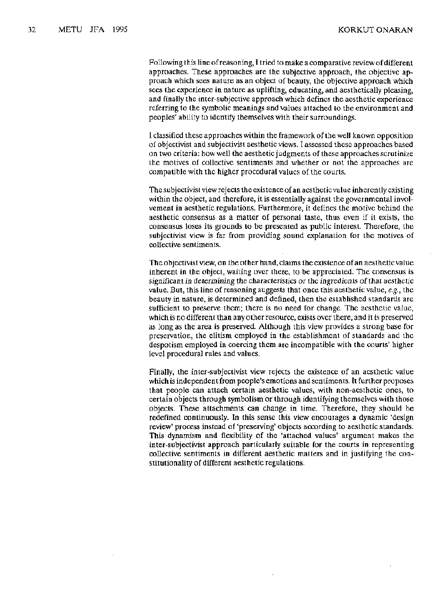Following this line of reasoning, I tried to make a comparative review of different approaches. These approaches are the subjective approach, the objective approach which sees nature as an object of beauty, the objective approach which sees the experience in nature as uplifting, educating, and aesthetically pleasing, and finally the inter-subjective approach which defines the aesthetic experience referring to the symbolic meanings and values attached to the environment and peoples' ability to identify themselves with their surroundings.

I classified these approaches within the framework of the well known opposition of objectivist and subjectivisl aesthetic views. I assessed these approaches based on two criteria: how well the aesthetic judgments of these approaches scrutinize the motives of collective sentiments and whether or not the approaches are compatible with the higher procedural values of the courts.

The subjeetivist view rejects the existence of an aesthetic value inherently existing within the object, and therefore, it is essentially against the governmental involvement in aesthetic regulations. Furthermore, it defines the motive behind the aesthetic consensus as a matter of personal taste, thus even if it exists, the consensus loses its grounds to be presented as public interest. Therefore, the subjeetivist view is far from providing sound explanation for the motives of collective sentiments.

The objectivist view, on the other hand, claims the existence of an aesthetic value inherent İn the object, waiting over there, to be appreciated. The consensus is significant in determining the characteristics or the ingredients of that aesthetic value. But, this line of reasoning suggests that once this aesthetic value, *e.g.*, the beauty in nature, is determined and defined, then the established standards are sufficient to preserve them; there is no need for change. The aesthetic value, which is no different than any other resource, exists over there, and it is preserved as long as the area is preserved. Although this view provides a strong base for preservation, the elitism employed in the establishment of standards and the despotism employed in coercing them are incompatible with the courts' higher level procedural rules and values.

Finally, the inter-subjectivist view rejects the existence of an aesthetic value which is independent from people's emotions and sentiments. It further proposes that people can attach certain aesthetic values, with non-aesthetic ones, to certain objects through symbolism or through identifying themselves with those objects. These attachments can change in lime. Therefore, they should be redefined continuously. In this sense this view encourages a dynamic 'design review' process instead of 'preserving' objects according to aesthetic standards. This dynamism and flexibility of the 'attached values' argument makes the inter-subjectivist approach particularly suitable for the courts in representing collective sentiments in different aesthetic matters and in justifying the constitutionality of different aesthetic regulations.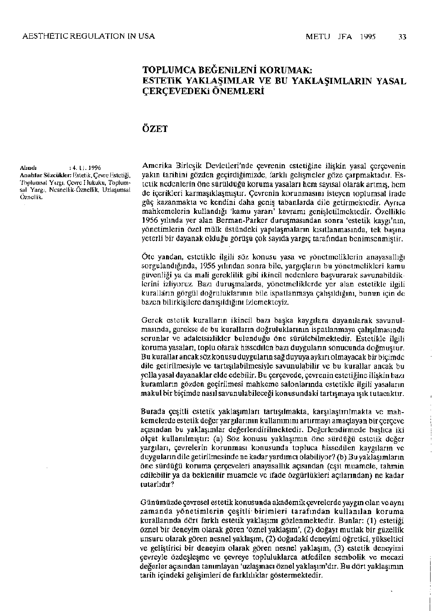## **TOPLUMCA BEĞENİLENİ KORUMAK: ESTETİK YAKLAŞIMLAR VE BU YAKLAŞIMLARIN YASAL ÇERÇEVEDEK ÖNEMLERİ**

## **ÖZET**

**Alındı** : 4. 11. 1996 **Analılar Sözcükler:** Hsletik, Çevre Kslcliği, Toplumsal Yargı, Çevre Hukuku, Toplumsal Yargı, Nesnellik-Öznellik, Uzlaşımsal Öznellik.

Amerika Birleşik Devletleri'nde çevrenin estetiğine ilişkin yasal çerçevenin yakın tarihini gözden geçirdiğimizde, farklı gelişmeler göze çarpmaktadır. Estetik nedenlerin öne sürüldüğü koruma yasaları hem sayısal olarak artmış, hem de içerikleri karmaşıklaşmıştır. Çevrenin korunmasını isteyen toplumsal irade güç kazanmakta ve kendini daha geniş tabanlarda dile getirmektedir. Ayrıca mahkemelerin kullandığı 'kamu yararı' kavramı genişletilmektedir. Özellikle 1956 yılında yer alan Berman-Parkcr duruşmasından sonra 'estetik kaygı'nın, yönetimlerin özel mülk üstündeki yapılaşmaların kısıtlanmasında, tek başına yeterli bir dayanak olduğu görüşü çok sayıda yargıç tarafından benimsenmiştir.

Öte yandan, estetikle ilgili söz konusu yasa ve yönetmeliklerin anayasallığı sorgulandığında, 1956 yılından sonra bile, yargıçların bu yönetmelikleri kamu güvenliği ya da mali gereklilik gibi ikincil nedenlere başvurarak savunabildiklerini izliyoruz. Bazı duruşmalarda, yönetmeliklerde yer alan estetikle ilgili kuralların görgül doğruluklarının bile ispatlanmaya çalışıldığını, bunun için de bazen bilirkişilere danışıldığını izlemekteyiz.

Gerek estetik kuralların ikincil bazı başka kaygılara dayanılarak savunulmasında, gerekse de bu kuralların doğruluklarının ispatlanmaya çalışılmasında sorunlar ve adaletsizlikler bulunduğu öne sürülcbilmektedir. Estetikle ilgili koruma yasaları, toplu olarak hissedilen bazı duyguların sonucunda doğmuştur. Bu kurallar ancak söz konusu duyguların sağ duyuya aykırı olmayacak bir biçimde dile getirilmesiyle ve tartışılabilmesiyle savunulabilir ve bu kurallar ancak bu yolla yasal dayanaklar elde edebilir. Bu çerçevede, çevrenin estetiğine ilişkin bazı kuramların gözden geçirilmesi mahkeme salonlarında estetikle ilgili yasaların makul bir biçimde nasıl savunulabileceği konusundaki tartışmaya ışık tutacaktır.

Burada çeşitli estetik yaklaşımları tartışılmakta, karşılaştırılmakta ve mahkemelerde estetik değer yargılarının kullanımını artırmayı amaçlayan bir çerçeve açısından bu yaklaşımlar değerlendirilmektedir. Değerlendirmede başlıca iki ölçüt kullanılmıştır: (a) Söz konusu yaklaşımın öne sürdüğü estetik değer yargıları, çevrelerin korunması konusunda topluca hissedilen kaygıların ve duyguların dile getirilmesinde ne kadar yardımcı olabiliyor? (b) Bu yaklaşımların öne sürdüğü koruma çerçeveleri anayasallık açısından (eşit muamele, tahmin edilebilir ya da beklenilir muamele ve ifade özgürlükleri açılarından) ne kadar tutarlıdır?

Günümüzde çevresel estetik konusunda akademik çevrelerde yaygın olan ve aynı zamanda yönetimlerin çeşitli birimleri tarafından kullanılan koruma kurallarında dört farklı estetik yaklaşımı gözlenmektedir. Bunlar: (1) estetiği öznel bir deneyim olarak gören 'öznel yaklaşım', (2) doğayı mutlak bir güzellik unsuru olarak gören nesnel yaklaşım, (2) doğadaki deneyimi öğretici, yükseltici ve geliştirici bir deneyim olarak gören nesnel yaklaşım, (3) estetik deneyimi çevreyle özdeşleşme ve çevreye topluluklarca atfedilen sembolik ve mecazi değerler açısından tanımlayan 'uzlaşmacı öznel yaklaşım'dır. Bu dört yaklaşımın tarih içindeki gelişimleri de farklılıklar göstermektedir.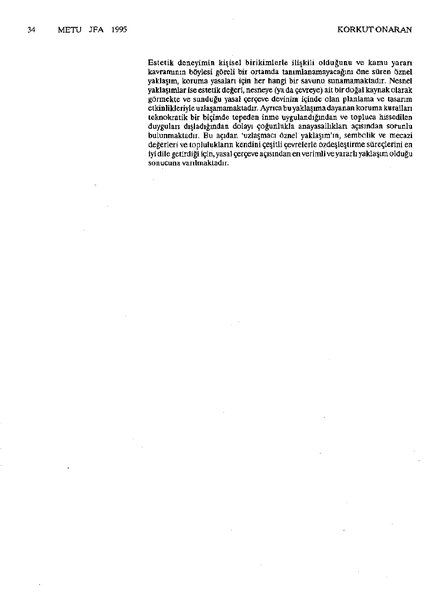Estetik deneyimin kişisel birikimlerle ilişkili olduğunu ve kamu yararı kavramının böylesi göreli bir ortamda tanımlanamayacağını öne süren öznel yaklaşım, koruma yasaları için her hangi bir savunu sunamamaktadır. Nesnel yaklaşımlar ise estetik değeri, nesneye (ya da çevreye) ait bir doğal kaynak olarak görmekte ve sunduğu yasal çerçeve devinim içinde olan planlama ve tasarım etkinlikleriyle uzlaşamamaktadır. Ayrıca bu yaklaşıma dayanan koruma kuralları teknokratik bir biçimde tepeden inme uygulandığından ve topluca hissedilen duygulan dışladığından dolayı çoğunlukla anayasallıkları açısından sorunlu bulunmaktadır. Bu açıdan 'uzlaşmacı öznel yaklaşım'm, sembolik ve mecazi değerleri ve toplulukların kendini çeşitli çevrelerle özdeşleştirme süreçlerini en iyi dile getirdiği için, yasal çerçeve açısından en verimli ve yararlı yaklaşım olduğu sonucuna varılmaktadır.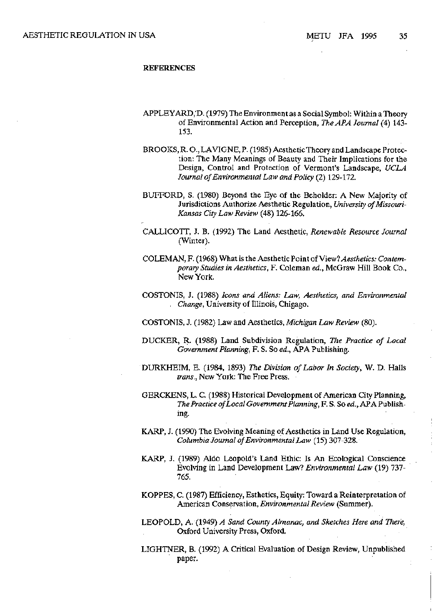#### **REFERENCES**

- APPLEYARD/D. (1979) The Environment as a Social Symbol: Within a Theory of Environmental Action and Perception, *The APA Journal* (4) 143- 153.
- BROOKS, R. O., LAVIGNE, P. (1985) Aesthetic Theory and Landscape Protection: The Many Meanings of Beauty and Their Implications for the Design, Control and Protection of Vermont's Landscape, *UCLA Journal of Environmental Law and Policy* (2) 129-172.
- BUFFORD, S. (1980) Beyond the Eye of the Beholder: A New Majority of Jurisdictions Authorize Aesthetic Regulation, *University of Missouri-Kansas City Law Review* (48) 126-166.
- CALLICOTT, J. B. (1992) The Land Aesthetic, *Renewable Resource Journal*  (Winter).
- COLEMAN, F. (1968) What is the Aesthetic Point of *View? Aesthetics: Contemporary Studies in Aesthetics,* F. Coleman *ed.,* McGraw Hill Book Co., New York.
- COSTONIS, J. (1988) *Icons and Aliens: Law, Aesthetics, and Environmental . Change,* University of Illinois, Chigago.
- COSTONIS, J. (1982) Law and Aesthetics, *Michigan Law Review* (80).
- DUCKER, R. (1988) Land Subdivision Regulation, *The Practice of Local Government Planning,* F. S. So *ed.,* APA Publishing.
- DURKHEIM, E. (1984, 1893) *The Division of Labor In Society,* W. D. Halls *trans.,* New York: The Free Press.
- GERCKENS, L. C. (1988) Historical Development of American City Planning, *The Practice of Local Government Planning,* F. S. So *ed.,* APA Publishing.
- KARP, J. (1990) The Evolving Meaning of Aesthetics in Land Use Regulation, *Columbia Journal of Environmental Law* (15) 307-328.
- KARP, J. (1989) Aldo Leopold's Land Ethic: Is An Ecological Conscience Evolving in Land Development Law? *Environmental Law* (19) 737- 765.
- KOPPES, C. (1987) Efficiency, Esthetics, Equity: Toward a Reinterpretation of American Conservation, *Environmental Review* (Summer).
- LEOPOLD, A. (1949) *A Sand County Almanac, and Sketches Here and There,*  Oxford University Press, Oxford.
- LIGHTNER, B. (1992) A Critical Evaluation of Design Review, Unpublished paper.